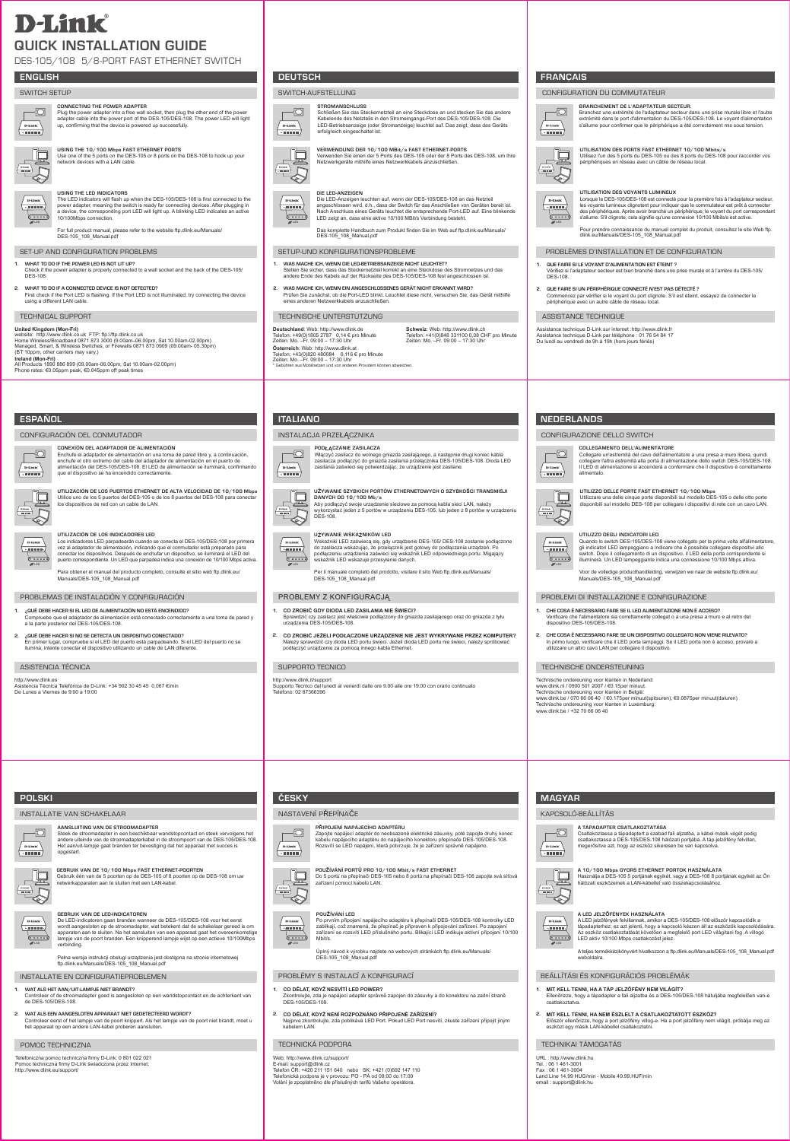# **D-Link QUICK INSTALLATION GUIDE**

DES-105/108 5/8-Port Fast Ethernet Switch

# SWITCH SETUP



### **Connecting the power ADAPTER** Plug the power adapter into a free wall socket, then plug the other end of the power adapter cable into the power port of the DES-105/DES-108. The power LED will light **D-Link** up, confirming that the device is powered up successfully.  $\sqrt{2}$



**Using the 10/100 mbps fast ethernet ports** Use one of the 5 ports on the DES-105 or 8 ports on the DES-108 to hook up your network devices with a LAN cable.

**Using the LED Indicators**

The LED indicators will flash up when the DES-105/DES-108 is first connected to the power adapter, meaning the switch is ready for connecting devices. After plugging in a device, the corresponding port LED will light up. A blinking LED indicates an active 10/100Mbps connection. **LED LED**

For full product manual, please refer to the website ftp.dlink.eu/Manuals/ DES-105\_108\_Manual.pdf

# SET-UP AND CONFIGURATION PROBLEMS

- **1. what to do if the power led is not lit up?** Check if the power adapter is properly connected to a wall socket and the back of the DES-105/ DES-108.
- **2. What to do if a connected device is not detected?** First check if the Port LED is flashing. If the Port LED is not illuminated, try connecting the device using a different LAN cable.

# TECHNICAL SUPPORT

United Kingdom (Mon-Fri)<br>Website: http://www.dlink.co.uk FTP: ftp://ftp.dlink.co.uk<br>Home Wireles//Broadband 0871 873 3000 (9.00am–06.00pm, Sat 10.00am-02.00pm)<br>Managed, Smart, & Wireless Switches, or Firewalls 0871 873 090 **Ireland (Mon-Fri)**<br>All Products 1890 886 899 (09.00am-06.00pm, Sat 10.00am-02.00pm)<br>Phone rates: €0.05ppm peak, €0.045ppm off peak times

| <b>ESPAÑOL</b><br>ESPANUL<br>_______ |  |  |
|--------------------------------------|--|--|

# CONFIGURACIÓN DEL CONMUTADOR

CONEXION DEL ADAPTADOR DE ALIMENTACION<br>Enchufe el adaptador de alimentación en una toma de pared libre y, a continuación,<br>enchufe el otro extremo del cable del adaptador de alimentación en el puerto de<br>alimentación del DES Đ

 $\sqrt{\frac{\mathbf{D}\cdot\mathbf{LinI}}{\cdot\mathbf{H}}$ 冥

**Utilización de los puertos Ethernet de alta velocidad de 10/100 mbps** Utilice uno de los 5 puertos del DES-105 o de los 8 puertos del DES-108 para conectar los dispositivos de red con un cable de LAN.



**LED**

# UTILIZACION DE LOS INDICADORES LED<br>Los indicadores LED parpadearán cuando se conecta el DES-105/DES-108 por primera<br>vez al adaptador de alimentación, indicando que el conmutador está preparado para<br>conectar los dispositivo

Para obtener el manual del producto completo, consulte el sitio web ftp.dlink.eu/ Manuals/DES-105\_108\_Manual.pdf

# PROBLEMAS DE INSTALACIÓN Y CONFIGURACIÓN

- **1. ¿QUÉ DEBE HACER SI EL LED DE ALIMENTACIÓN NO ESTÁ ENCENDIDO?** npruebe que el adaptador de alimentación está conectado correctamente a una toma de pared y a la parte posterior del DES-105/DES-108.
- **2. ¿QUÉ DEBE HACER SI NO SE DETECTA UN DISPOSITIVO CONECTADO?** En primer lugar, compruebe si el LED del puerto está parpadeando. Si el LED del puerto no se ilumina, intente conectar el dispositivo utilizando un cable de LAN diferente.

# ASISTENCIA TÉCNICA

http://www.dlink.es Asistencia Técnica Telefónica de D-Link: +34 902 30 45 45 0,067 €/min De Lunes a Viernes de 9:00 a 19:00



**Verwendung der 10/100 MBit/s Fast Ethernet-Ports** Verwenden Sie einen der 5 Ports des DES-105 oder der 8 Ports des DES-108, um Ihre Netzwerkgeräte mithilfe eines Netzwerkkabels anzuschließen.

Schließen Sie das Steckernetzteil an eine Steckdose an und stecken Sie das andere Kabelende des Netzteils in den Stromeingangs-Port des DES-105/DES-108. Die LED-Betriebsanzeige (oder Stromanzeige) leuchtet auf. Das zeigt, dass das Geräts



-10

SWITCH-AUFSTELLUNG

**Stromanschluss** 

erfolgreich eingeschaltet ist.

**Die LED-Anzeigen** Die LED-Anzeigen leuchten auf, wenn der DES-105/DES-108 an das Netzteil Data ser angeschlossen wird, d.h., dass der Switch für das Anschließen von Geräten bereit ist. Nach Anschluss eines Geräts leuchtet die entsprechende Port-LED auf. Eine blinkende LED zeigt an, dass eine aktive 10/100 MBit/s Verbindung besteht.

Das komplette Handbuch zum Produkt finden Sie im Web auf ftp.dlink.eu/Manuals/ DES-105\_108\_Manual.pdf

# SETUP-UND KONFIGURATIONSPROBLEME

- **1. WAS MACHE ICH, WENN DIE LED-BETRIEBSANZEIGE NICHT LEUCHTET?** Stellen Sie sicher, dass das Steckernetzteil korrekt an eine Steckdose des Stromnetzes und das
- andere Ende des Kabels auf der Rückseite des DES-105/DES-108 fest angeschlossen ist. **2. WAS MACHE ICH, WENN EIN ANGESCHLOSSENES GERÄT NICHT ERKANNT WIRD?**
- Prüfen Sie zunächst, ob die Port-LED blinkt. Leuchtet diese nicht, versuchen Sie, das Gerät mithilfe eines anderen Netzwerkkabels anzuschließer

# TECHNISCHE UNTERSTÜTZUNG

**Deutschland**: Web: http://www.dlink.de Telefon: +49(0)1805 2787 0,14 € pro Minute Zeiten: Mo. –Fr. 09:00 – 17:30 Uhr **Österreich**: Web: http://www.dlink.at Telefon: +43(0)820 480084 0,116 € pro Minute<br>Zeiten: Mo. –Fr. 09:00 – 17:30 Uhr<br>\* Gebühren aus Mobilnetzen und von anderen Providern können abweichen.

**Schweiz**: Web: http://www.dlink.ch Telefon: +41(0)848 331100 0,08 CHF pro Minute Zeiten: Mo. –Fr. 09:00 – 17:30 Uhr

# Instalacja przełącznika



**Używanie szybkich portów ethernetowych o szybkości transmisji danych do 10/100 mb/s** Aby podłączyć swoje urządzenie sieciowe za pomocą kabla sieci LAN, należy wykorzystać jeden z 5 portów w urządzeniu DES-105, lub jeden z 8 portów w urządzeniu DES-108.

PODŁĄCZANIE ZASILACZA<br>Włączyć zasilacz do wolnego gniazda zasilającego, a następnie drugi koniec kabla<br>zasilacza podłączyć do gniazda zasilania przełącznika DES-105/DES-108. Dioda LED<br>zasilania zaświeci się potwierdzając,



**LED LED** UZYWANIE WSKAZNIKOW LED<br>Wskaźniki LED zaświecą się, gdy urządzenie DES-105/ DES-108 zostanie podłączone<br>do zasilacza wskazując, że przełącznik jest gotowy do podłączania urządzeń. Po<br>podłączeniu urządzenia zaświeci się wsk

Per il manuale completo del prodotto, visitare il sito Web ftp.dlink.eu/Manuals/ DES-105\_108\_Manual.pdf

# PROBLEMY Z KONFIGURACJĄ

- **1. CO ZROBIĆ GDY DIODA LED ZASILANIA NIE ŚWIECI?** orawdzić czy zasilacz jest właściwie podłączony do gniazda zasilającego oraz do gniazda z tyłu urządzenia DES-105/DES-108.
- **2. CO ZROBIĆ JEŻELI PODŁĄCZONE URZĄDZENIE NIE JEST WYKRYWANE PRZEZ KOMPUTER?** Należy sprawdzić czy dioda LED portu świeci. Jeżeli dioda LED portu nie świeci, należy spróbować podłączyć urządzenie za pomocą innego kabla Ethernet.

# SUPPORTO TECNICO

http://www.dlink.it/support Supporto Tecnico dal lunedì al venerdì dalle ore 9.00 alle ore 19.00 con orario continuato Telefono: 02 87366396

**Připojení napájecího adaptéru** 

**Používání portů pro 10/100 Mbit/s Fast Ethernet**

Zapojte napájecí adaptér do neobsazené elektrické zásuvky, poté zapojte druhý konec kabelu napájecího adaptéru do napájecího konektoru přepínače DES-105/DES-108. Rozsvítí se LED napájení, která potvrzuje, že je zařízení správně napájeno.

Do 5 portů na přepínači DES-105 nebo 8 portů na přepínači DES-108 zapojte svá síťová zařízení pomocí kabelů LAN.

Po prvním připojení napájecího adaptéru k přepínači DES-105/DES-108 kontrolky LED<br>zablikají, což znamená, že přepínač je připraven k připojování zařízení. Po zapojení amená, že přepínač je připraven k přip zařízení se rozsvítí LED příslušného portu. Blikající LED indikuje aktivní připojení 10/100

ně zapojen do zásuvky a do konektoru na zadní straně

Úplný návod k výrobku najdete na webových stránkách ftp.dlink.eu/Manuals/

2. **CO DĚLAT, KDYŽ NENÍ ROZPOZNÁNO PŘIPOJENÉ ZAŘÍZENÍ?**<br>Nejprve zkontrolujte, zda poblikává LED Port. Pokud LED Port nesvítí, zkuste zařízení připojit jiným<br>kabelem LAN.



# CONFIGURATION DU COMMUTATEUR



**Utilisation des ports Fast Ethernet 10/100 mbits/s**



**LED**

D-Link

Utilisez l'un des 5 ports du DES-105 ou des 8 ports du DES-108 pour raccorder vos périphériques en réseau avec un câble de réseau local.

Branchez une extrémité de l'adaptateur secteur dans une prise murale libre et l'autre extrémité dans le port d'alimentation du DES-105/DES-108. Le voyant d'alimentation

**Utilisation des voyants lumineux**



Pour prendre connaissance du manuel complet du produit, consultez le site Web ftp. dlink.eu/Manuals/DES-105\_108\_Manual.pdf

# PROBLÈMES D'INSTALLATION ET DE CONFIGURATION

- **1. QUE FAIRE SI LE VOYANT D'ALIMENTATION EST ÉTEINT ?** Vérifiez si l'adaptateur secteur est bien branché dans une prise murale et à l'arrière du DES-105/ DES-108.
- **2. QUE FAIRE SI UN PÉRIPHÉRIQUE CONNECTÉ N'EST PAS DÉTECTÉ ?** Commencez par vérifier si le voyant du port clignote. S'il est éteint, essayez de connecter le périphérique avec un autre câble de réseau local.

# ASSISTANCE TECHNIQUE

Assistance technique D-Link sur internet :http://www.dlink.fr Assistance technique D-Link par téléphone : 01 76 54 84 17 Du lundi au vendredi de 9h à 19h (hors jours fériés)

# **NEDERLANDS**

CONFIGURAZIONE DELLO SWITCH



Collegare un'estremità del cavo dell'alimentatore a una presa a muro libera, quindi<br>collegare l'altra estremità alla porta di alimentazione dello switch DES-105/DES-108.<br>Il LED di alimentazione si accenderà a confermare ch **UTILIZZO DELLE PORTE FAST ETHERNET 10/100 Mbps**<br>Utilizzare una delle cinque porte disponibili sul modello DES-105 o delle otto porte<br>disponibili sul modello DES-108 per collegare i dispositivi di rete con un cavo LAN.



닟  $\overline{a}$ 

**Collegamento dell'alimentatore** 



Voor de volledige producthandleiding, verwijzen we naar de website ftp.dlink.eu/ Manuals/DES-105\_108\_Manual.pdf

# PROBLEMI DI INSTALLAZIONE E CONFIGURAZIONE

- **1. CHE COSA È NECESSARIO FARE SE IL LED ALIMENTAZIONE NON È ACCESO?** Verificare che l'alimentatore sia correttamente collegat o a una presa a muro e al retro del dispositivo DES-105/DES-108.
- **2. CHE COSA È NECESSARIO FARE SE UN DISPOSITIVO COLLEGATO NON VIENE RILEVATO?** In primo luogo, verificare che il LED porta lampeggi. Se il LED porta non è acceso, provare a utilizzare un altro cavo LAN per collegare il dispositivo.

# TECHNISCHE ONDERSTEUNING

Technische ondereuning voor klanten in Nederland: www.dlink.nl / 0900 501 2007 / €0.15per minuut.

KAPCSOLÓ-BEÁLLÍTÁS

D-Lini

 $\sqrt{2}$ 

 $\frac{1}{\sqrt{1-\frac{1}{2}}\cdot\frac{1}{2}}$ 

 $D$ -Link

ہےا

Technische ondereuning voor klanten in België: www.dlink.be / 070 66 06 40 / €0.175per minuut(spitsuren), €0.0875per minuut(daluren) Technische ondereuning voor klanten in Luxemburg: www.dlink.be / +32 70 66 06 40

**A TÁPADAPTER csatlakoztatása** 

LED aktív 10/100 Mbps csatlakozást jelez.

BEÁLLÍTÁSI ÉS KONFIGURÁCIÓS PROBLÉMÁK **1. MIT KELL TENNI, HA A TÁP JELZŐFÉNY NEM VILÁGÍT?**

weboldalra.

csatlakoztatva.

URL : http://www.dlink.hu Tel. : 06 1 461-3001 Fax : 06 1 461-3004

: support@d

TECHNIKAI TÁMOGATÁS

Land Line 14,99 HUG/min - Mobile 49.99,HUF/min

Csatlakoztassa a tápadaptert a szabad fali aljzatba, a kábel másik végét pedig csatlakoztassa a DES-105/DES-108 hálózati portjába. A táp-jelzőfény felvillan,

**A 10/100 Mbps GYORS ETHERNET PORTOK HASZNALATA**<br>Használja a DES-105 5 portjának egyikét, vagy a DES-108 8 portjának egyikét az Ön<br>hálózati eszközeinek a LAN-kábellel való összekapcsolásához.

**A LED jelzőfények használata** A LED jelzőfények felvillannak, amikor a DES-105/DES-108 először kapcsolódik a tápadapterhez; ez azt jelenti, hogy a kapcsoló készen áll az eszközök kapcsolóda Az eszköz csatlakoztatását követően a megfelelő port LED világítani fog. A villogó

A teljes termékkézikönyvért hivatkozzon a ftp.dlink.eu/Manuals/DES-105\_108\_Manual.pdf

Ellenőrizze, hogy a tápadapter a fali aljzatba és a DES-105/DES-108 hátuljába megfelelően van-e

**2. MIT KELL TENNI, HA NEM ÉSZLELT A CSATLAKOZTATOTT ESZKÖZ?** Először ellenőrizze, hogy a port jelzőfény villog-e. Ha a port jelzőfény nem világít, próbálja meg az eszközt egy másik LAN-kábellel csatlakoztatni.

megerősítve azt, hogy az eszköz sikeresen be van kapcsolva

# **POLSKI**

# INSTALLATIE VAN SCHAKELAAR



**Aansluiting van de stroomADAPTER** Steek de stroomadapter in een beschikbaar wandstopcontact en steek vervolgens het andere uiteinde van de stroomadapterkabel in de stroompoort van de DES-105/DES-108. Het aan/uit-lampje gaat branden ter bevestiging dat het apparaat met succes is opgestart.



 $\sqrt{\frac{D\text{-Link}}{D\text{-Link}}}$ 

**Gebruik van de 10/100 mbps fast ethernet-poorten** Gebruik één van de 5 poorten op de DES-105 of 8 poorten op de DES-108 om uw netwerkapparaten aan te sluiten met een LAN-kabel.

**Gebruik van de LED-indicatoren**

**LED LED LED** De LED-indicatoren gaan branden wanneer de DES-105/DES-108 voor het eerst wordt aangesloten op de stroomadapter, wat apparaten aan te sluiten. Na het aansluiten van een apparaat gaat het overeenkomstige lampje van de poort branden. Een knipperend lampje wijst op een actieve 10/100Mbps verbinding.

Pełna wersja instrukcji obsługi urządzenia jest dostępna na stronie internetowej ftp.dlink.eu/Manuals/DES-105\_108\_Manual.pdf

INSTALLATIE EN CONFIGURATIEPROBLEMEN

- **1. WAT ALS HET AAN/UIT-LAMPJE NIET BRANDT?** Ingesloten op een wandstopcontact en de achterkant van ontropeer of de stroomadapter goed is aa...<br>e DES-105/DES-108.<br>e DES-105/DES-108.
- 2. WAT ALS EEN AANGESLOTEN APPARAAT NIET GEDETECTEERD WORDT?<br>Controleer eerst of het lampje van de poort knippert. Als het lampje van de poort niet brandt, moet u<br>het apparaat op een andere LAN-kabel proberen aansluiten.

# POMOC TECHNICZNA

Telefoniczna pomoc techniczna firmy D-Link: 0 801 022 021 Pomoc techniczna firmy D-Link świadczona przez Internet: http://www.dlink.eu/support/

# NASTAVENÍ PŘEPÍNAČE **ČESKY MAGYARARARA ARABAS ARABAS ARABAS ARABAS ARABAS ARABAS ARABAS ARABAS ARABAS ARABAS ARABAS ARABAS ARABAS ARA**

D-Link

**THE REAL** 

 $\begin{picture}(120,110) \put(0,0){\line(1,0){10}} \put(15,0){\line(1,0){10}} \put(15,0){\line(1,0){10}} \put(15,0){\line(1,0){10}} \put(15,0){\line(1,0){10}} \put(15,0){\line(1,0){10}} \put(15,0){\line(1,0){10}} \put(15,0){\line(1,0){10}} \put(15,0){\line(1,0){10}} \put(15,0){\line(1,0){10}} \put(15,0){\line(1,0){10}} \put(15,0){\line$ 

D-Link

PROBLÉMY S INSTALACÍ A KONFIGURACÍ

E-mail: support@dlink.cz<br>Telefon ČR: +420 211 151 640 nebo SK: +421 (0)692 147 110<br>Telefonická podpora je v provozu: PO - PÁ od 09:00 do 17:00<br>Volání je zpoplatněno dle příslušných tarifů Vašeho operátora.

**1. CO DĚLAT, KDYŽ NESVÍTÍ LED POWER?**

<sub>≕</sub>...........ugue, zda je napáje<br>DES-105/DES-108.

TECHNICKÁ PODPORA Web: http://www.dlink.cz/support/

DES-105\_108\_Manual.pdf

**Používání LED**

Mbit/s.